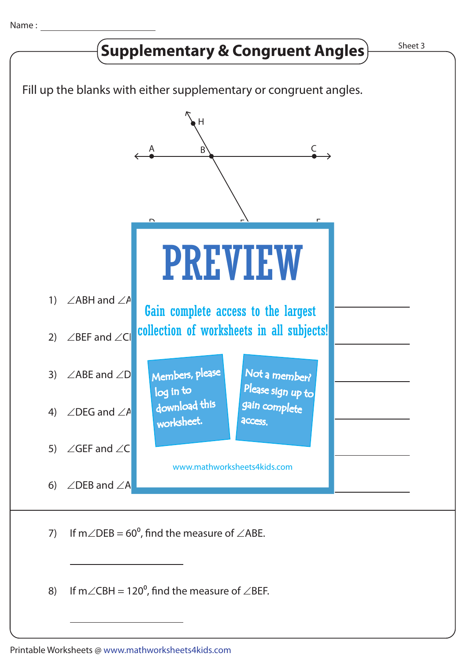

8) If m $\angle$ CBH = 120<sup>o</sup>, find the measure of  $\angle$ BEF.

Printable Worksheets @ www.mathworksheets4kids.com